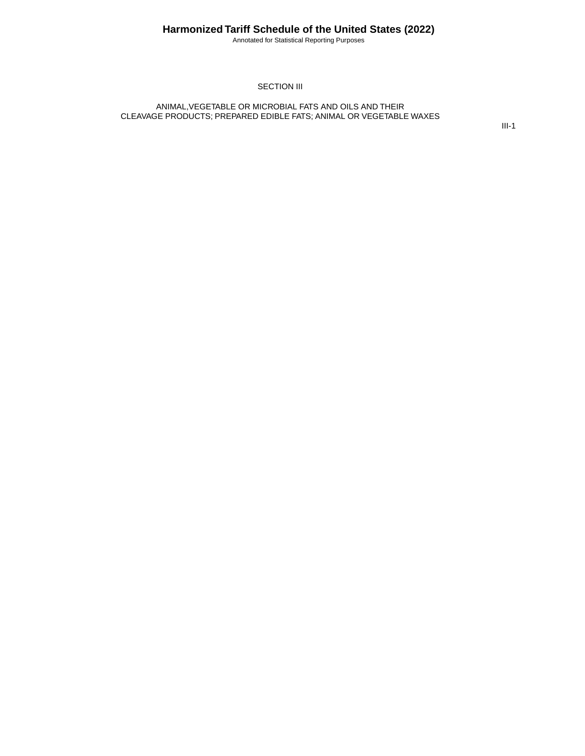Annotated for Statistical Reporting Purposes

#### **SECTION III**

#### ANIMAL,VEGETABLE OR MICROBIAL FATS AND OILS AND THEIR CLEAVAGE PRODUCTS; PREPARED EDIBLE FATS; ANIMAL OR VEGETABLE WAXES

III-1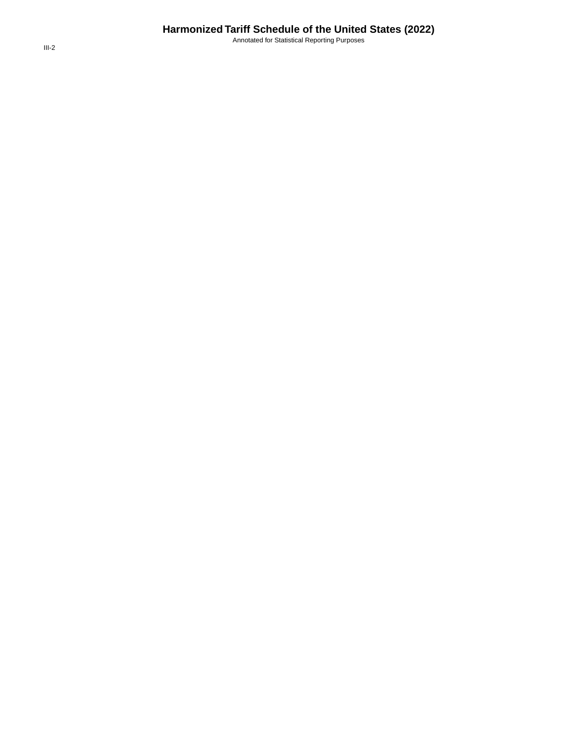Annotated for Statistical Reporting Purposes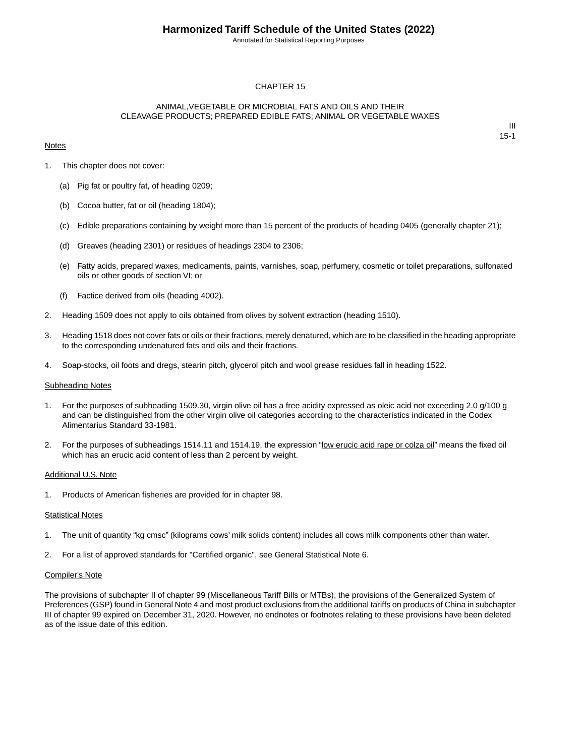Annotated for Statistical Reporting Purposes

#### CHAPTER 15

#### ANIMAL,VEGETABLE OR MICROBIAL FATS AND OILS AND THEIR CLEAVAGE PRODUCTS; PREPARED EDIBLE FATS; ANIMAL OR VEGETABLE WAXES

#### Notes

III 15-1

- 1. This chapter does not cover:
	- (a) Pig fat or poultry fat, of heading 0209;
	- (b) Cocoa butter, fat or oil (heading 1804);
	- (c) Edible preparations containing by weight more than 15 percent of the products of heading 0405 (generally chapter 21);
	- (d) Greaves (heading 2301) or residues of headings 2304 to 2306;
	- (e) Fatty acids, prepared waxes, medicaments, paints, varnishes, soap, perfumery, cosmetic or toilet preparations, sulfonated oils or other goods of section VI; or
	- (f) Factice derived from oils (heading 4002).
- 2. Heading 1509 does not apply to oils obtained from olives by solvent extraction (heading 1510).
- 3. Heading 1518 does not cover fats or oils or their fractions, merely denatured, which are to be classified in the heading appropriate to the corresponding undenatured fats and oils and their fractions.
- 4. Soap-stocks, oil foots and dregs, stearin pitch, glycerol pitch and wool grease residues fall in heading 1522.

#### Subheading Notes

- 1. For the purposes of subheading 1509.30, virgin olive oil has a free acidity expressed as oleic acid not exceeding 2.0 g/100 g and can be distinguished from the other virgin olive oil categories according to the characteristics indicated in the Codex Alimentarius Standard 33-1981.
- 2. For the purposes of subheadings 1514.11 and 1514.19, the expression "low erucic acid rape or colza oil" means the fixed oil which has an erucic acid content of less than 2 percent by weight.

#### Additional U.S. Note

1. Products of American fisheries are provided for in chapter 98.

#### **Statistical Notes**

- 1. The unit of quantity "kg cmsc" (kilograms cows' milk solids content) includes all cows milk components other than water.
- 2. For a list of approved standards for "Certified organic", see General Statistical Note 6.

#### Compiler's Note

The provisions of subchapter II of chapter 99 (Miscellaneous Tariff Bills or MTBs), the provisions of the Generalized System of Preferences (GSP) found in General Note 4 and most product exclusions from the additional tariffs on products of China in subchapter III of chapter 99 expired on December 31, 2020. However, no endnotes or footnotes relating to these provisions have been deleted as of the issue date of this edition.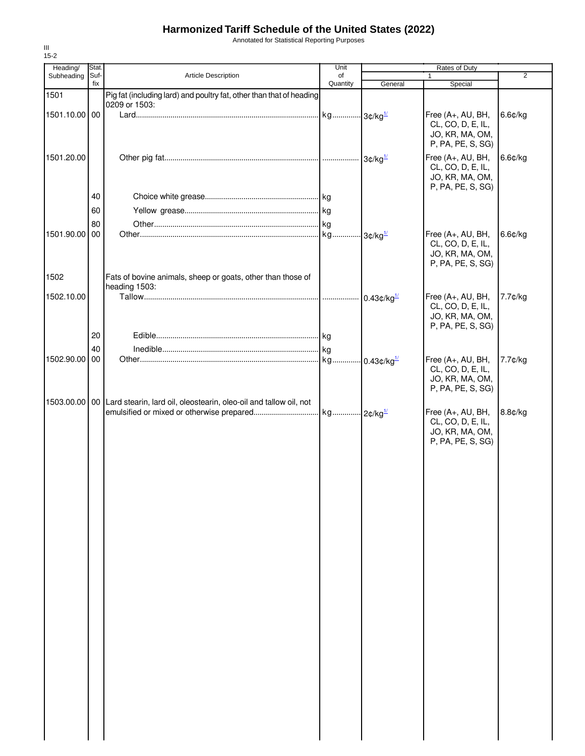Annotated for Statistical Reporting Purposes

| Heading/      | Stat.       |                                                                                 | Unit           |         | Rates of Duty                                                                  |            |
|---------------|-------------|---------------------------------------------------------------------------------|----------------|---------|--------------------------------------------------------------------------------|------------|
| Subheading    | Suf-<br>fix | Article Description                                                             | of<br>Quantity | General | 1<br>Special                                                                   | 2          |
| 1501          |             | Pig fat (including lard) and poultry fat, other than that of heading            |                |         |                                                                                |            |
|               |             | 0209 or 1503:                                                                   |                |         |                                                                                |            |
| 1501.10.00 00 |             |                                                                                 |                |         | Free (A+, AU, BH,<br>CL, CO, D, E, IL,<br>JO, KR, MA, OM,<br>P, PA, PE, S, SG) | $6.6$ ¢/kg |
| 1501.20.00    |             |                                                                                 |                |         | Free (A+, AU, BH,<br>CL, CO, D, E, IL,<br>JO, KR, MA, OM,<br>P, PA, PE, S, SG) | 6.6¢/kg    |
|               | 40          |                                                                                 |                |         |                                                                                |            |
|               | 60          |                                                                                 |                |         |                                                                                |            |
|               | 80          |                                                                                 |                |         |                                                                                |            |
| 1501.90.00 00 |             |                                                                                 |                |         | Free (A+, AU, BH,<br>CL, CO, D, E, IL,<br>JO, KR, MA, OM,<br>P, PA, PE, S, SG) | $6.6$ ¢/kg |
| 1502          |             | Fats of bovine animals, sheep or goats, other than those of                     |                |         |                                                                                |            |
| 1502.10.00    |             | heading 1503:                                                                   |                |         |                                                                                | 7.7¢/kg    |
|               | 20          |                                                                                 |                |         | Free (A+, AU, BH,<br>CL, CO, D, E, IL,<br>JO, KR, MA, OM,<br>P, PA, PE, S, SG) |            |
|               | 40          |                                                                                 |                |         |                                                                                |            |
| 1502.90.00 00 |             |                                                                                 |                |         | Free (A+, AU, BH,<br>CL, CO, D, E, IL,<br>JO, KR, MA, OM,<br>P, PA, PE, S, SG) | 7.7¢/kg    |
|               |             | 1503.00.00 00 Lard stearin, lard oil, oleostearin, oleo-oil and tallow oil, not |                |         | Free (A+, AU, BH,<br>CL, CO, D, E, IL,<br>JO, KR, MA, OM,<br>P, PA, PE, S, SG) | 8.8¢/kg    |
|               |             |                                                                                 |                |         |                                                                                |            |
|               |             |                                                                                 |                |         |                                                                                |            |
|               |             |                                                                                 |                |         |                                                                                |            |
|               |             |                                                                                 |                |         |                                                                                |            |
|               |             |                                                                                 |                |         |                                                                                |            |
|               |             |                                                                                 |                |         |                                                                                |            |
|               |             |                                                                                 |                |         |                                                                                |            |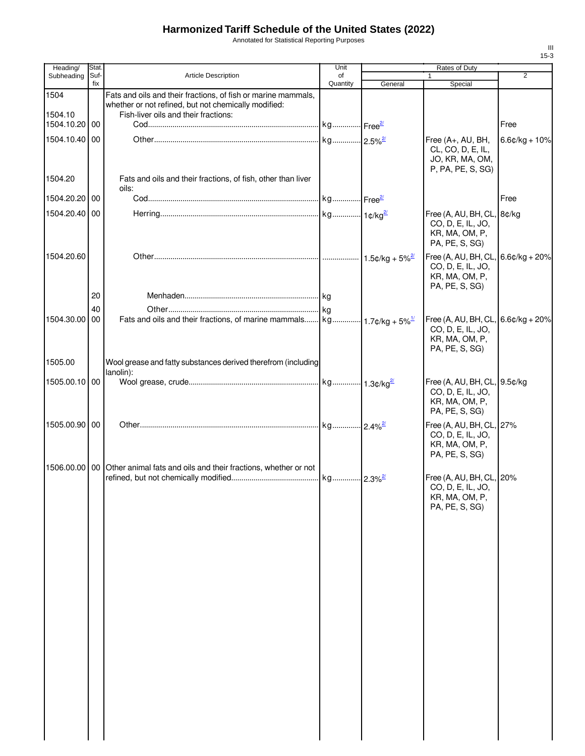Annotated for Statistical Reporting Purposes

| fix<br>Quantity<br>General<br>Special<br>1504<br>Fats and oils and their fractions, of fish or marine mammals,<br>whether or not refined, but not chemically modified:<br>1504.10<br>Fish-liver oils and their fractions:<br>1504.10.20 00<br>Free<br>1504.10.40 00<br>$6.6¢/kg + 10%$<br>Free (A+, AU, BH,<br>CL, CO, D, E, IL,<br>JO, KR, MA, OM,<br>P, PA, PE, S, SG)<br>1504.20<br>Fats and oils and their fractions, of fish, other than liver<br>oils:<br>1504.20.20 00<br>Free<br>1504.20.40 00<br>Free (A, AU, BH, CL, 8¢/kg<br>CO, D, E, IL, JO,<br>KR, MA, OM, P,<br>PA, PE, S, SG)<br>1504.20.60<br>Free (A, AU, BH, CL, $6.6¢/kg + 20%$<br>CO, D, E, IL, JO,<br>KR, MA, OM, P,<br>PA, PE, S, SG)<br>20<br>40<br>Fats and oils and their fractions, of marine mammals $\log$ $1.7 \text{C/kg} + 5\% \frac{1}{2}$<br>1504.30.00 00<br>Free (A, AU, BH, CL, $6.6¢/kg + 20%$<br>CO, D, E, IL, JO,<br>KR, MA, OM, P,<br>PA, PE, S, SG)<br>1505.00<br>Wool grease and fatty substances derived therefrom (including<br>lanolin):<br>1505.00.10 00<br>Free (A, AU, BH, CL, 9.5¢/kg<br>CO, D, E, IL, JO,<br>KR, MA, OM, P,<br>PA, PE, S, SG)<br>1505.00.90 00<br>Free (A, AU, BH, CL, 27%<br>CO, D, E, IL, JO,<br>KR, MA, OM, P,<br>PA, PE, S, SG)<br>1506.00.00   00   Other animal fats and oils and their fractions, whether or not<br>Free (A, AU, BH, CL, 20%<br>CO, D, E, IL, JO,<br>KR, MA, OM, P,<br>PA, PE, S, SG) | Heading/   | Stat. |                     | Unit | Rates of Duty |                |
|---------------------------------------------------------------------------------------------------------------------------------------------------------------------------------------------------------------------------------------------------------------------------------------------------------------------------------------------------------------------------------------------------------------------------------------------------------------------------------------------------------------------------------------------------------------------------------------------------------------------------------------------------------------------------------------------------------------------------------------------------------------------------------------------------------------------------------------------------------------------------------------------------------------------------------------------------------------------------------------------------------------------------------------------------------------------------------------------------------------------------------------------------------------------------------------------------------------------------------------------------------------------------------------------------------------------------------------------------------------------------------------------------------------------------------|------------|-------|---------------------|------|---------------|----------------|
|                                                                                                                                                                                                                                                                                                                                                                                                                                                                                                                                                                                                                                                                                                                                                                                                                                                                                                                                                                                                                                                                                                                                                                                                                                                                                                                                                                                                                                 | Subheading | Suf-  | Article Description | of   | $\mathbf{1}$  | $\overline{2}$ |
|                                                                                                                                                                                                                                                                                                                                                                                                                                                                                                                                                                                                                                                                                                                                                                                                                                                                                                                                                                                                                                                                                                                                                                                                                                                                                                                                                                                                                                 |            |       |                     |      |               |                |
|                                                                                                                                                                                                                                                                                                                                                                                                                                                                                                                                                                                                                                                                                                                                                                                                                                                                                                                                                                                                                                                                                                                                                                                                                                                                                                                                                                                                                                 |            |       |                     |      |               |                |
|                                                                                                                                                                                                                                                                                                                                                                                                                                                                                                                                                                                                                                                                                                                                                                                                                                                                                                                                                                                                                                                                                                                                                                                                                                                                                                                                                                                                                                 |            |       |                     |      |               |                |
|                                                                                                                                                                                                                                                                                                                                                                                                                                                                                                                                                                                                                                                                                                                                                                                                                                                                                                                                                                                                                                                                                                                                                                                                                                                                                                                                                                                                                                 |            |       |                     |      |               |                |
|                                                                                                                                                                                                                                                                                                                                                                                                                                                                                                                                                                                                                                                                                                                                                                                                                                                                                                                                                                                                                                                                                                                                                                                                                                                                                                                                                                                                                                 |            |       |                     |      |               |                |
|                                                                                                                                                                                                                                                                                                                                                                                                                                                                                                                                                                                                                                                                                                                                                                                                                                                                                                                                                                                                                                                                                                                                                                                                                                                                                                                                                                                                                                 |            |       |                     |      |               |                |
|                                                                                                                                                                                                                                                                                                                                                                                                                                                                                                                                                                                                                                                                                                                                                                                                                                                                                                                                                                                                                                                                                                                                                                                                                                                                                                                                                                                                                                 |            |       |                     |      |               |                |
|                                                                                                                                                                                                                                                                                                                                                                                                                                                                                                                                                                                                                                                                                                                                                                                                                                                                                                                                                                                                                                                                                                                                                                                                                                                                                                                                                                                                                                 |            |       |                     |      |               |                |
|                                                                                                                                                                                                                                                                                                                                                                                                                                                                                                                                                                                                                                                                                                                                                                                                                                                                                                                                                                                                                                                                                                                                                                                                                                                                                                                                                                                                                                 |            |       |                     |      |               |                |
|                                                                                                                                                                                                                                                                                                                                                                                                                                                                                                                                                                                                                                                                                                                                                                                                                                                                                                                                                                                                                                                                                                                                                                                                                                                                                                                                                                                                                                 |            |       |                     |      |               |                |
|                                                                                                                                                                                                                                                                                                                                                                                                                                                                                                                                                                                                                                                                                                                                                                                                                                                                                                                                                                                                                                                                                                                                                                                                                                                                                                                                                                                                                                 |            |       |                     |      |               |                |
|                                                                                                                                                                                                                                                                                                                                                                                                                                                                                                                                                                                                                                                                                                                                                                                                                                                                                                                                                                                                                                                                                                                                                                                                                                                                                                                                                                                                                                 |            |       |                     |      |               |                |
|                                                                                                                                                                                                                                                                                                                                                                                                                                                                                                                                                                                                                                                                                                                                                                                                                                                                                                                                                                                                                                                                                                                                                                                                                                                                                                                                                                                                                                 |            |       |                     |      |               |                |
|                                                                                                                                                                                                                                                                                                                                                                                                                                                                                                                                                                                                                                                                                                                                                                                                                                                                                                                                                                                                                                                                                                                                                                                                                                                                                                                                                                                                                                 |            |       |                     |      |               |                |
|                                                                                                                                                                                                                                                                                                                                                                                                                                                                                                                                                                                                                                                                                                                                                                                                                                                                                                                                                                                                                                                                                                                                                                                                                                                                                                                                                                                                                                 |            |       |                     |      |               |                |
|                                                                                                                                                                                                                                                                                                                                                                                                                                                                                                                                                                                                                                                                                                                                                                                                                                                                                                                                                                                                                                                                                                                                                                                                                                                                                                                                                                                                                                 |            |       |                     |      |               |                |
|                                                                                                                                                                                                                                                                                                                                                                                                                                                                                                                                                                                                                                                                                                                                                                                                                                                                                                                                                                                                                                                                                                                                                                                                                                                                                                                                                                                                                                 |            |       |                     |      |               |                |
|                                                                                                                                                                                                                                                                                                                                                                                                                                                                                                                                                                                                                                                                                                                                                                                                                                                                                                                                                                                                                                                                                                                                                                                                                                                                                                                                                                                                                                 |            |       |                     |      |               |                |
|                                                                                                                                                                                                                                                                                                                                                                                                                                                                                                                                                                                                                                                                                                                                                                                                                                                                                                                                                                                                                                                                                                                                                                                                                                                                                                                                                                                                                                 |            |       |                     |      |               |                |
|                                                                                                                                                                                                                                                                                                                                                                                                                                                                                                                                                                                                                                                                                                                                                                                                                                                                                                                                                                                                                                                                                                                                                                                                                                                                                                                                                                                                                                 |            |       |                     |      |               |                |
|                                                                                                                                                                                                                                                                                                                                                                                                                                                                                                                                                                                                                                                                                                                                                                                                                                                                                                                                                                                                                                                                                                                                                                                                                                                                                                                                                                                                                                 |            |       |                     |      |               |                |
|                                                                                                                                                                                                                                                                                                                                                                                                                                                                                                                                                                                                                                                                                                                                                                                                                                                                                                                                                                                                                                                                                                                                                                                                                                                                                                                                                                                                                                 |            |       |                     |      |               |                |
|                                                                                                                                                                                                                                                                                                                                                                                                                                                                                                                                                                                                                                                                                                                                                                                                                                                                                                                                                                                                                                                                                                                                                                                                                                                                                                                                                                                                                                 |            |       |                     |      |               |                |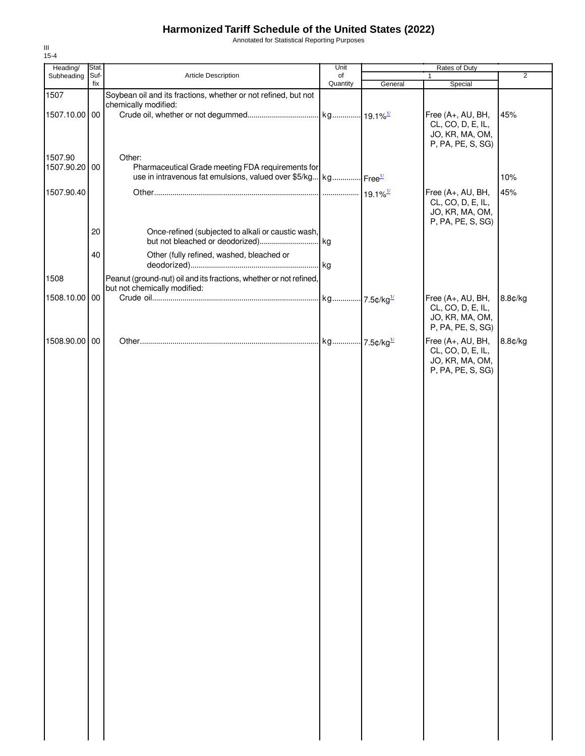Annotated for Statistical Reporting Purposes

| Heading/      | Stat.       |                                                                                                                                 | Unit           |         | Rates of Duty                                                                  |                |
|---------------|-------------|---------------------------------------------------------------------------------------------------------------------------------|----------------|---------|--------------------------------------------------------------------------------|----------------|
| Subheading    | Suf-<br>fix | Article Description                                                                                                             | of<br>Quantity | General | 1<br>Special                                                                   | $\overline{2}$ |
| 1507          |             | Soybean oil and its fractions, whether or not refined, but not                                                                  |                |         |                                                                                |                |
| 1507.10.00 00 |             | chemically modified:                                                                                                            |                |         | Free (A+, AU, BH,<br>CL, CO, D, E, IL,<br>JO, KR, MA, OM,<br>P, PA, PE, S, SG) | 45%            |
| 1507.90       |             | Other:                                                                                                                          |                |         |                                                                                |                |
| 1507.90.20 00 |             | Pharmaceutical Grade meeting FDA requirements for<br>use in intravenous fat emulsions, valued over \$5/kg kg Free <sup>1/</sup> |                |         |                                                                                | 10%            |
| 1507.90.40    |             |                                                                                                                                 |                |         | Free (A+, AU, BH,<br>CL, CO, D, E, IL,<br>JO, KR, MA, OM,<br>P, PA, PE, S, SG) | 45%            |
|               | 20          | Once-refined (subjected to alkali or caustic wash,                                                                              |                |         |                                                                                |                |
|               | 40          | Other (fully refined, washed, bleached or                                                                                       |                |         |                                                                                |                |
| 1508          |             | Peanut (ground-nut) oil and its fractions, whether or not refined,<br>but not chemically modified:                              |                |         |                                                                                |                |
| 1508.10.00 00 |             |                                                                                                                                 |                |         | Free (A+, AU, BH,<br>CL, CO, D, E, IL,<br>JO, KR, MA, OM,<br>P, PA, PE, S, SG) | 8.8¢/kg        |
| 1508.90.00 00 |             |                                                                                                                                 |                |         | Free (A+, AU, BH,<br>CL, CO, D, E, IL,<br>JO, KR, MA, OM,<br>P, PA, PE, S, SG) | 8.8¢/kg        |
|               |             |                                                                                                                                 |                |         |                                                                                |                |
|               |             |                                                                                                                                 |                |         |                                                                                |                |
|               |             |                                                                                                                                 |                |         |                                                                                |                |
|               |             |                                                                                                                                 |                |         |                                                                                |                |
|               |             |                                                                                                                                 |                |         |                                                                                |                |
|               |             |                                                                                                                                 |                |         |                                                                                |                |
|               |             |                                                                                                                                 |                |         |                                                                                |                |
|               |             |                                                                                                                                 |                |         |                                                                                |                |
|               |             |                                                                                                                                 |                |         |                                                                                |                |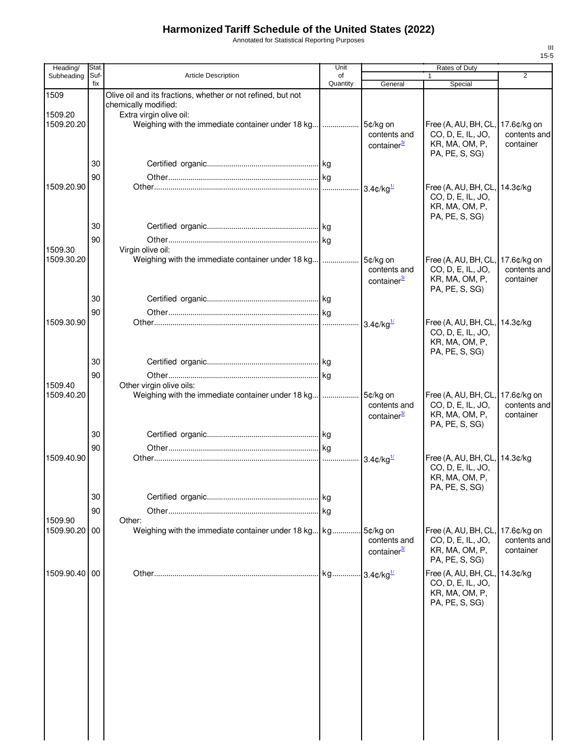Annotated for Statistical Reporting Purposes

| Heading/                 | Stat.       |                                                                | Unit           |                                                     | Rates of Duty                                                                          |                                          |
|--------------------------|-------------|----------------------------------------------------------------|----------------|-----------------------------------------------------|----------------------------------------------------------------------------------------|------------------------------------------|
| Subheading               | Suf-<br>fix | Article Description                                            | of<br>Quantity | General                                             | 1<br>Special                                                                           | $\overline{2}$                           |
| 1509                     |             | Olive oil and its fractions, whether or not refined, but not   |                |                                                     |                                                                                        |                                          |
| 1509.20                  |             | chemically modified:<br>Extra virgin olive oil:                |                |                                                     |                                                                                        |                                          |
| 1509.20.20               |             | Weighing with the immediate container under 18 kg              |                | 5¢/kg on<br>contents and<br>container <sup>3</sup>  | Free (A, AU, BH, CL,<br>CO, D, E, IL, JO,<br>KR, MA, OM, P,<br>PA, PE, S, SG)          | 17.6¢/kg on<br>contents and<br>container |
|                          | 30          |                                                                |                |                                                     |                                                                                        |                                          |
|                          | 90          |                                                                |                |                                                     |                                                                                        |                                          |
| 1509.20.90               |             |                                                                |                | $3.4$ c/kg $\frac{1}{2}$                            | Free (A, AU, BH, CL,<br>CO, D, E, IL, JO,<br>KR, MA, OM, P,                            | 14.3¢/kg                                 |
|                          | 30          |                                                                |                |                                                     | PA, PE, S, SG)                                                                         |                                          |
|                          | 90          |                                                                |                |                                                     |                                                                                        |                                          |
| 1509.30                  |             | Virgin olive oil:                                              |                |                                                     |                                                                                        |                                          |
| 1509.30.20               |             | Weighing with the immediate container under 18 kg              |                | 5¢/kg on<br>contents and<br>container <sup>3/</sup> | Free (A, AU, BH, CL,<br>CO, D, E, IL, JO,<br>KR, MA, OM, P,<br>PA, PE, S, SG)          | 17.6¢/kg on<br>contents and<br>container |
|                          | 30          |                                                                |                |                                                     |                                                                                        |                                          |
|                          | 90          |                                                                |                |                                                     |                                                                                        |                                          |
| 1509.30.90               |             |                                                                |                | $3.4$ ¢/kg $^{1/2}$                                 | Free (A, AU, BH, CL, 14.3¢/kg<br>CO, D, E, IL, JO,<br>KR, MA, OM, P,<br>PA, PE, S, SG) |                                          |
|                          | 30          |                                                                |                |                                                     |                                                                                        |                                          |
|                          | 90          |                                                                |                |                                                     |                                                                                        |                                          |
| 1509.40<br>1509.40.20    |             | Other virgin olive oils:                                       |                |                                                     | Free (A, AU, BH, CL,                                                                   | 17.6¢/kg on                              |
|                          |             |                                                                |                | contents and<br>container <sup>3/</sup>             | CO, D, E, IL, JO,<br>KR, MA, OM, P,<br>PA, PE, S, SG)                                  | contents and<br>container                |
|                          | 30          |                                                                |                |                                                     |                                                                                        |                                          |
| 1509.40.90               | 90          |                                                                |                |                                                     |                                                                                        |                                          |
|                          |             |                                                                |                | $3.4$ ¢/kg $\frac{1}{2}$                            | Free (A, AU, BH, CL,<br>CO, D, E, IL, JO,<br>KR, MA, OM, P,<br>PA, PE, S, SG)          | 14.3¢/kg                                 |
|                          | 30          |                                                                | kg             |                                                     |                                                                                        |                                          |
|                          | 90          |                                                                |                |                                                     |                                                                                        |                                          |
| 1509.90<br>1509.90.20 00 |             | Other:<br>Weighing with the immediate container under 18 kg kg |                | 5¢/kg on<br>contents and<br>container <sup>3/</sup> | Free (A, AU, BH, CL,<br>CO, D, E, IL, JO,<br>KR, MA, OM, P,<br>PA, PE, S, SG)          | 17.6¢/kg on<br>contents and<br>container |
| 1509.90.40 00            |             |                                                                |                |                                                     | Free (A, AU, BH, CL,<br>CO, D, E, IL, JO,<br>KR, MA, OM, P,<br>PA, PE, S, SG)          | 14.3¢/kg                                 |
|                          |             |                                                                |                |                                                     |                                                                                        |                                          |
|                          |             |                                                                |                |                                                     |                                                                                        |                                          |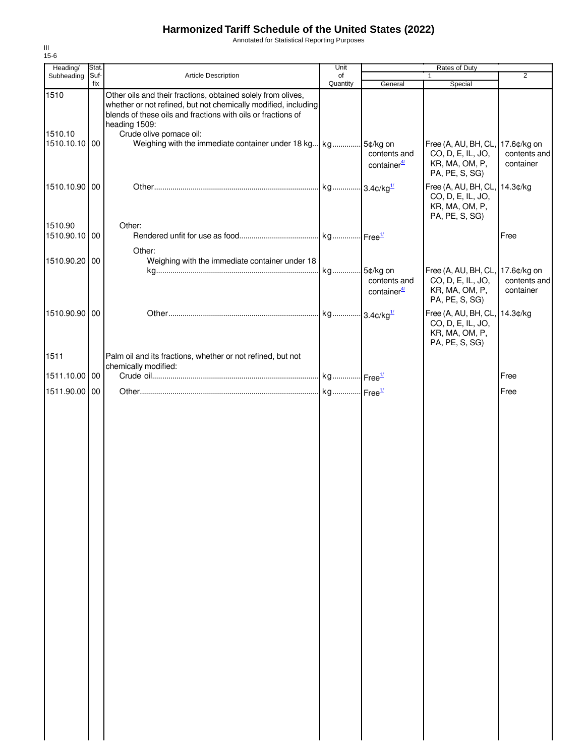Annotated for Statistical Reporting Purposes

| Heading/                 | Stat.       |                                                                                                                                                                                                                                            | Unit           |                                         | Rates of Duty                                                                             |                           |
|--------------------------|-------------|--------------------------------------------------------------------------------------------------------------------------------------------------------------------------------------------------------------------------------------------|----------------|-----------------------------------------|-------------------------------------------------------------------------------------------|---------------------------|
| Subheading               | Suf-<br>fix | Article Description                                                                                                                                                                                                                        | of<br>Quantity | General                                 | $\mathbf{1}$<br>Special                                                                   | $\overline{2}$            |
| 1510<br>1510.10          |             | Other oils and their fractions, obtained solely from olives,<br>whether or not refined, but not chemically modified, including<br>blends of these oils and fractions with oils or fractions of<br>heading 1509:<br>Crude olive pomace oil: |                |                                         |                                                                                           |                           |
| 1510.10.10 00            |             |                                                                                                                                                                                                                                            |                | contents and<br>container <sup>4/</sup> | Free (A, AU, BH, CL, 17.6¢/kg on<br>CO, D, E, IL, JO,<br>KR, MA, OM, P,<br>PA, PE, S, SG) | contents and<br>container |
| 1510.10.90 00            |             |                                                                                                                                                                                                                                            |                |                                         | Free (A, AU, BH, CL, 14.3¢/kg<br>CO, D, E, IL, JO,<br>KR, MA, OM, P,<br>PA, PE, S, SG)    |                           |
| 1510.90<br>1510.90.10 00 |             | Other:                                                                                                                                                                                                                                     |                |                                         |                                                                                           | Free                      |
| 1510.90.20 00            |             | Other:<br>Weighing with the immediate container under 18                                                                                                                                                                                   |                |                                         |                                                                                           |                           |
|                          |             |                                                                                                                                                                                                                                            | kg 5¢/kg on    | contents and<br>container <sup>4/</sup> | Free (A, AU, BH, CL, 17.6¢/kg on<br>CO, D, E, IL, JO,<br>KR, MA, OM, P,<br>PA, PE, S, SG) | contents and<br>container |
| 1510.90.90 00            |             |                                                                                                                                                                                                                                            |                |                                         | Free (A, AU, BH, CL,<br>CO, D, E, IL, JO,<br>KR, MA, OM, P,<br>PA, PE, S, SG)             | 14.3¢/kg                  |
| 1511                     |             | Palm oil and its fractions, whether or not refined, but not<br>chemically modified:                                                                                                                                                        |                |                                         |                                                                                           |                           |
| 1511.10.00 00            |             |                                                                                                                                                                                                                                            |                |                                         |                                                                                           | Free                      |
| 1511.90.00 00            |             |                                                                                                                                                                                                                                            |                |                                         |                                                                                           | Free                      |
|                          |             |                                                                                                                                                                                                                                            |                |                                         |                                                                                           |                           |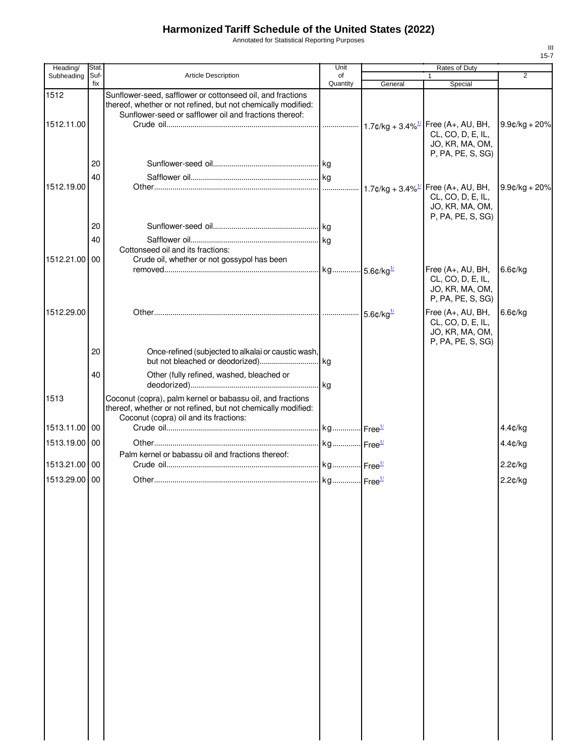Annotated for Statistical Reporting Purposes

| Heading/      | Stat.       |                                                                                                                                                                                       | Unit           |         | Rates of Duty                                                                                                  |                 |
|---------------|-------------|---------------------------------------------------------------------------------------------------------------------------------------------------------------------------------------|----------------|---------|----------------------------------------------------------------------------------------------------------------|-----------------|
| Subheading    | Suf-<br>fix | <b>Article Description</b>                                                                                                                                                            | of<br>Quantity | General | 1<br>Special                                                                                                   | 2               |
| 1512          |             | Sunflower-seed, safflower or cottonseed oil, and fractions<br>thereof, whether or not refined, but not chemically modified:<br>Sunflower-seed or safflower oil and fractions thereof: |                |         |                                                                                                                |                 |
| 1512.11.00    |             |                                                                                                                                                                                       |                |         | CL, CO, D, E, IL,<br>JO, KR, MA, OM,<br>P, PA, PE, S, SG)                                                      | $9.9¢/kg + 20%$ |
|               | 20          |                                                                                                                                                                                       |                |         |                                                                                                                |                 |
|               | 40          |                                                                                                                                                                                       |                |         |                                                                                                                |                 |
| 1512.19.00    |             |                                                                                                                                                                                       |                |         | $1.7$ ¢/kg + 3.4% <sup>1/</sup> Free (A+, AU, BH,<br>CL, CO, D, E, IL,<br>JO, KR, MA, OM,<br>P, PA, PE, S, SG) | $9.9¢/kg + 20%$ |
|               | 20          |                                                                                                                                                                                       |                |         |                                                                                                                |                 |
|               | 40          |                                                                                                                                                                                       |                |         |                                                                                                                |                 |
| 1512.21.00 00 |             | Cottonseed oil and its fractions:<br>Crude oil, whether or not gossypol has been                                                                                                      |                |         |                                                                                                                |                 |
|               |             |                                                                                                                                                                                       |                |         | Free (A+, AU, BH,<br>CL, CO, D, E, IL,<br>JO, KR, MA, OM,<br>P, PA, PE, S, SG)                                 | 6.6¢/kg         |
| 1512.29.00    |             |                                                                                                                                                                                       |                |         | Free (A+, AU, BH,<br>CL, CO, D, E, IL,<br>JO, KR, MA, OM,<br>P, PA, PE, S, SG)                                 | $6.6$ ¢/kg      |
|               | 20          | Once-refined (subjected to alkalai or caustic wash,                                                                                                                                   |                |         |                                                                                                                |                 |
|               | 40          | Other (fully refined, washed, bleached or                                                                                                                                             |                |         |                                                                                                                |                 |
| 1513          |             | Coconut (copra), palm kernel or babassu oil, and fractions<br>thereof, whether or not refined, but not chemically modified:<br>Coconut (copra) oil and its fractions:                 |                |         |                                                                                                                |                 |
| 1513.11.00 00 |             |                                                                                                                                                                                       |                |         |                                                                                                                | 4.4¢/kg         |
| 1513.19.00 00 |             |                                                                                                                                                                                       |                |         |                                                                                                                | $4.4$ ¢/kg      |
| 1513.21.00 00 |             | Palm kernel or babassu oil and fractions thereof:                                                                                                                                     |                |         |                                                                                                                | 2.2¢/kg         |
|               |             |                                                                                                                                                                                       |                |         |                                                                                                                |                 |
| 1513.29.00 00 |             |                                                                                                                                                                                       |                |         |                                                                                                                | 2.2¢/kg         |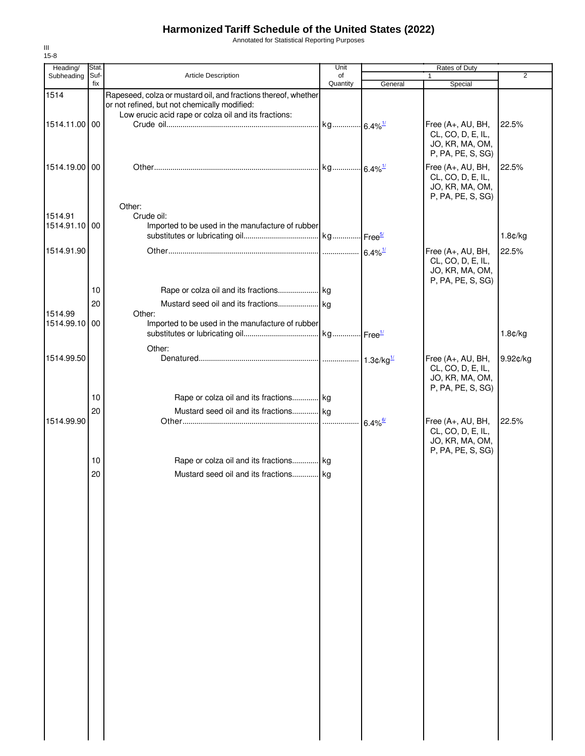Annotated for Statistical Reporting Purposes

| Heading/                 | Stat.       |                                                                                                                | Unit                  |                       | Rates of Duty                                                                  |                |
|--------------------------|-------------|----------------------------------------------------------------------------------------------------------------|-----------------------|-----------------------|--------------------------------------------------------------------------------|----------------|
| Subheading               | Suf-<br>fix | Article Description                                                                                            | of<br>Quantity        |                       | 1                                                                              | $\overline{2}$ |
| 1514                     |             | Rapeseed, colza or mustard oil, and fractions thereof, whether<br>or not refined, but not chemically modified: |                       | General               | Special                                                                        |                |
| 1514.11.00 00            |             | Low erucic acid rape or colza oil and its fractions:                                                           | kg 6.4% <sup>1/</sup> |                       | Free (A+, AU, BH,<br>CL, CO, D, E, IL,<br>JO, KR, MA, OM,<br>P, PA, PE, S, SG) | 22.5%          |
| 1514.19.00 00            |             |                                                                                                                |                       |                       | Free (A+, AU, BH,<br>CL, CO, D, E, IL,<br>JO, KR, MA, OM,<br>P, PA, PE, S, SG) | 22.5%          |
| 1514.91<br>1514.91.10 00 |             | Other:<br>Crude oil:<br>Imported to be used in the manufacture of rubber                                       |                       |                       |                                                                                |                |
|                          |             |                                                                                                                |                       |                       |                                                                                | 1.8¢/kg        |
| 1514.91.90               |             |                                                                                                                |                       |                       | Free (A+, AU, BH,<br>CL, CO, D, E, IL,<br>JO, KR, MA, OM,<br>P, PA, PE, S, SG) | 22.5%          |
|                          | 10          |                                                                                                                |                       |                       |                                                                                |                |
| 1514.99<br>1514.99.10 00 | 20          | Other:                                                                                                         |                       |                       |                                                                                |                |
|                          |             | Imported to be used in the manufacture of rubber<br>Other:                                                     |                       |                       |                                                                                | 1.8¢/kg        |
| 1514.99.50               |             |                                                                                                                |                       |                       | Free (A+, AU, BH,<br>CL, CO, D, E, IL,<br>JO, KR, MA, OM,<br>P, PA, PE, S, SG) | 9.92¢/kg       |
|                          | 10          | Rape or colza oil and its fractions kg                                                                         |                       |                       |                                                                                |                |
|                          | 20          | Mustard seed oil and its fractions kg                                                                          |                       |                       |                                                                                |                |
| 1514.99.90               |             |                                                                                                                |                       | $6.4\%$ <sup>6/</sup> | Free (A+, AU, BH,<br>CL, CO, D, E, IL,<br>JO, KR, MA, OM,<br>P, PA, PE, S, SG) | 22.5%          |
|                          | 10          | Rape or colza oil and its fractions kg                                                                         |                       |                       |                                                                                |                |
|                          | 20          | Mustard seed oil and its fractions kg                                                                          |                       |                       |                                                                                |                |
|                          |             |                                                                                                                |                       |                       |                                                                                |                |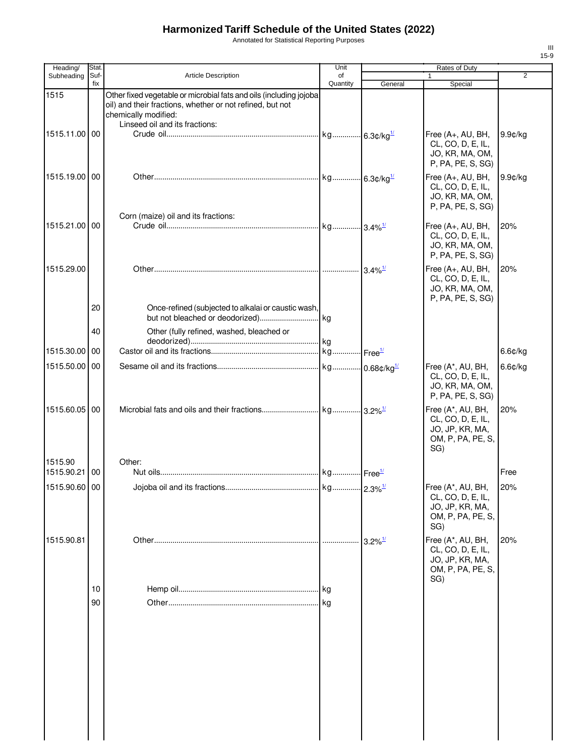Annotated for Statistical Reporting Purposes

| Heading/                 | Stat.       |                                                                                                                                                         | Unit           | Rates of Duty         |                                                                                       |                |
|--------------------------|-------------|---------------------------------------------------------------------------------------------------------------------------------------------------------|----------------|-----------------------|---------------------------------------------------------------------------------------|----------------|
| Subheading               | Suf-<br>fix | <b>Article Description</b>                                                                                                                              | of<br>Quantity | General               | Special                                                                               | $\overline{2}$ |
| 1515                     |             | Other fixed vegetable or microbial fats and oils (including jojoba<br>oil) and their fractions, whether or not refined, but not<br>chemically modified: |                |                       |                                                                                       |                |
| 1515.11.00 00            |             | Linseed oil and its fractions:                                                                                                                          |                |                       | Free (A+, AU, BH,<br>CL, CO, D, E, IL,<br>JO, KR, MA, OM,<br>P, PA, PE, S, SG)        | 9.9¢/kg        |
| 1515.19.00 00            |             |                                                                                                                                                         |                |                       | Free (A+, AU, BH,<br>CL, CO, D, E, IL,<br>JO, KR, MA, OM,<br>P, PA, PE, S, SG)        | 9.9¢/kg        |
| 1515.21.00 00            |             | Corn (maize) oil and its fractions:                                                                                                                     |                |                       | Free (A+, AU, BH,<br>CL, CO, D, E, IL,<br>JO, KR, MA, OM,<br>P, PA, PE, S, SG)        | 20%            |
| 1515.29.00               |             |                                                                                                                                                         |                |                       | Free (A+, AU, BH,<br>CL, CO, D, E, IL,<br>JO, KR, MA, OM,<br>P, PA, PE, S, SG)        | 20%            |
|                          | 20          | Once-refined (subjected to alkalai or caustic wash,                                                                                                     |                |                       |                                                                                       |                |
|                          | 40          | Other (fully refined, washed, bleached or                                                                                                               |                |                       |                                                                                       |                |
| 1515.30.00 00            |             |                                                                                                                                                         |                |                       |                                                                                       | $6.6$ ¢/kg     |
| 1515.50.00 00            |             |                                                                                                                                                         |                |                       | Free (A*, AU, BH,<br>CL, CO, D, E, IL,<br>JO, KR, MA, OM,<br>P, PA, PE, S, SG)        | $6.6$ ¢/kg     |
| 1515.60.05 00            |             |                                                                                                                                                         |                |                       | Free (A*, AU, BH,<br>CL, CO, D, E, IL,<br>JO, JP, KR, MA,<br>OM, P, PA, PE, S,<br>SG) | 20%            |
| 1515.90<br>1515.90.21 00 |             | Other:                                                                                                                                                  |                |                       |                                                                                       | Free           |
| 1515.90.60 00            |             |                                                                                                                                                         |                |                       | Free (A*, AU, BH,                                                                     | 20%            |
|                          |             |                                                                                                                                                         |                |                       | CL, CO, D, E, IL,<br>JO, JP, KR, MA,<br>OM, P, PA, PE, S,<br>SG)                      |                |
| 1515.90.81               |             |                                                                                                                                                         |                | $3.2\%$ <sup>1/</sup> | Free (A*, AU, BH,<br>CL, CO, D, E, IL,<br>JO, JP, KR, MA,<br>OM, P, PA, PE, S,<br>SG) | 20%            |
|                          | 10          |                                                                                                                                                         |                |                       |                                                                                       |                |
|                          | 90          |                                                                                                                                                         |                |                       |                                                                                       |                |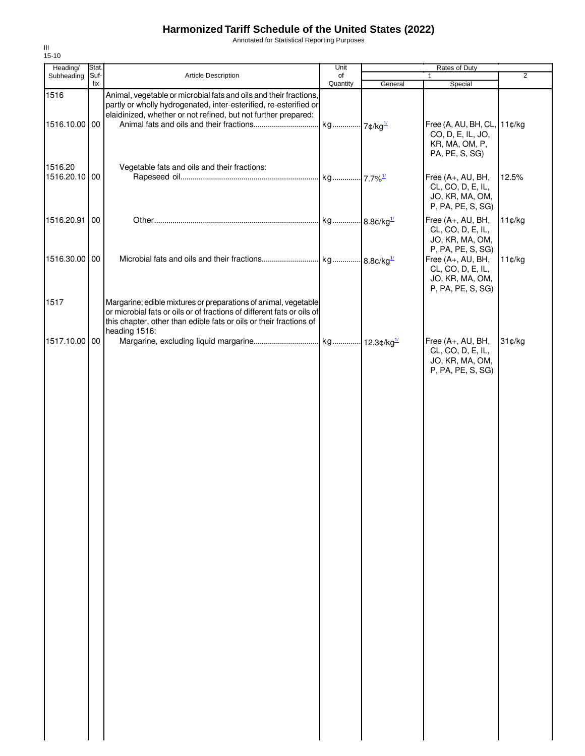Annotated for Statistical Reporting Purposes

| Heading/                 | Stat.           |                                                                                                                                                                                                                                  | Unit                   | Rates of Duty |                                                                                                     |                |
|--------------------------|-----------------|----------------------------------------------------------------------------------------------------------------------------------------------------------------------------------------------------------------------------------|------------------------|---------------|-----------------------------------------------------------------------------------------------------|----------------|
| Subheading               | Suf-            | Article Description                                                                                                                                                                                                              | of                     |               | $\mathbf{1}$                                                                                        | $\overline{2}$ |
| 1516                     | fix             | Animal, vegetable or microbial fats and oils and their fractions,<br>partly or wholly hydrogenated, inter-esterified, re-esterified or                                                                                           | Quantity               | General       | Special                                                                                             |                |
| 1516.10.00 00            |                 | elaidinized, whether or not refined, but not further prepared:                                                                                                                                                                   | kg 7¢/kg <sup>1/</sup> |               | Free (A, AU, BH, CL, 11¢/kg<br>CO, D, E, IL, JO,<br>KR, MA, OM, P,<br>PA, PE, S, SG)                |                |
| 1516.20<br>1516.20.10 00 |                 | Vegetable fats and oils and their fractions:                                                                                                                                                                                     |                        |               | Free (A+, AU, BH,<br>CL, CO, D, E, IL,<br>JO, KR, MA, OM,<br>P, PA, PE, S, SG)                      | 12.5%          |
| 1516.20.91               | $\overline{00}$ |                                                                                                                                                                                                                                  |                        |               | Free (A+, AU, BH,<br>CL, CO, D, E, IL,<br>JO, KR, MA, OM,                                           | 11¢/kg         |
| 1516.30.00 00            |                 |                                                                                                                                                                                                                                  |                        |               | P, PA, PE, S, SG)<br>Free (A+, AU, BH,<br>CL, CO, D, E, IL,<br>JO, KR, MA, OM,<br>P, PA, PE, S, SG) | 11¢/kg         |
| 1517                     |                 | Margarine; edible mixtures or preparations of animal, vegetable<br>or microbial fats or oils or of fractions of different fats or oils of<br>this chapter, other than edible fats or oils or their fractions of<br>heading 1516: |                        |               |                                                                                                     |                |
| 1517.10.00 00            |                 |                                                                                                                                                                                                                                  |                        |               | Free (A+, AU, BH,<br>CL, CO, D, E, IL,<br>JO, KR, MA, OM,<br>P, PA, PE, S, SG)                      | 31¢/kg         |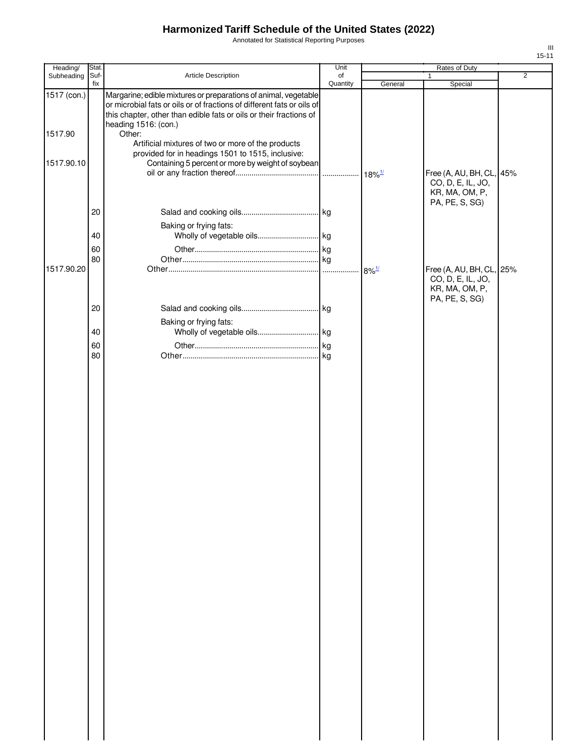Annotated for Statistical Reporting Purposes

| Heading/    | Stat.       |                                                                                                                                                                                                                                         | Unit           | Rates of Duty       |                                                             |                |  |
|-------------|-------------|-----------------------------------------------------------------------------------------------------------------------------------------------------------------------------------------------------------------------------------------|----------------|---------------------|-------------------------------------------------------------|----------------|--|
| Subheading  | Suf-<br>fix | Article Description                                                                                                                                                                                                                     | of<br>Quantity | General             | $\mathbf{1}$<br>Special                                     | $\overline{2}$ |  |
| 1517 (con.) |             | Margarine; edible mixtures or preparations of animal, vegetable<br>or microbial fats or oils or of fractions of different fats or oils of<br>this chapter, other than edible fats or oils or their fractions of<br>heading 1516: (con.) |                |                     |                                                             |                |  |
| 1517.90     |             | Other:<br>Artificial mixtures of two or more of the products                                                                                                                                                                            |                |                     |                                                             |                |  |
| 1517.90.10  |             | provided for in headings 1501 to 1515, inclusive:<br>Containing 5 percent or more by weight of soybean                                                                                                                                  |                |                     | Free (A, AU, BH, CL,<br>CO, D, E, IL, JO,                   | 45%            |  |
|             |             |                                                                                                                                                                                                                                         |                |                     | KR, MA, OM, P,<br>PA, PE, S, SG)                            |                |  |
|             | 20          |                                                                                                                                                                                                                                         |                |                     |                                                             |                |  |
|             | 40          | Baking or frying fats:                                                                                                                                                                                                                  |                |                     |                                                             |                |  |
|             | 60          |                                                                                                                                                                                                                                         |                |                     |                                                             |                |  |
|             | 80          |                                                                                                                                                                                                                                         |                |                     |                                                             |                |  |
| 1517.90.20  |             |                                                                                                                                                                                                                                         |                | $8\%$ <sup>1/</sup> | Free (A, AU, BH, CL,<br>CO, D, E, IL, JO,<br>KR, MA, OM, P, | 25%            |  |
|             | 20          |                                                                                                                                                                                                                                         |                |                     | PA, PE, S, SG)                                              |                |  |
|             |             | Baking or frying fats:                                                                                                                                                                                                                  |                |                     |                                                             |                |  |
|             | 40          |                                                                                                                                                                                                                                         |                |                     |                                                             |                |  |
|             | 60<br>80    |                                                                                                                                                                                                                                         |                |                     |                                                             |                |  |
|             |             |                                                                                                                                                                                                                                         |                |                     |                                                             |                |  |
|             |             |                                                                                                                                                                                                                                         |                |                     |                                                             |                |  |
|             |             |                                                                                                                                                                                                                                         |                |                     |                                                             |                |  |
|             |             |                                                                                                                                                                                                                                         |                |                     |                                                             |                |  |
|             |             |                                                                                                                                                                                                                                         |                |                     |                                                             |                |  |
|             |             |                                                                                                                                                                                                                                         |                |                     |                                                             |                |  |
|             |             |                                                                                                                                                                                                                                         |                |                     |                                                             |                |  |
|             |             |                                                                                                                                                                                                                                         |                |                     |                                                             |                |  |
|             |             |                                                                                                                                                                                                                                         |                |                     |                                                             |                |  |
|             |             |                                                                                                                                                                                                                                         |                |                     |                                                             |                |  |
|             |             |                                                                                                                                                                                                                                         |                |                     |                                                             |                |  |
|             |             |                                                                                                                                                                                                                                         |                |                     |                                                             |                |  |
|             |             |                                                                                                                                                                                                                                         |                |                     |                                                             |                |  |
|             |             |                                                                                                                                                                                                                                         |                |                     |                                                             |                |  |
|             |             |                                                                                                                                                                                                                                         |                |                     |                                                             |                |  |
|             |             |                                                                                                                                                                                                                                         |                |                     |                                                             |                |  |
|             |             |                                                                                                                                                                                                                                         |                |                     |                                                             |                |  |
|             |             |                                                                                                                                                                                                                                         |                |                     |                                                             |                |  |
|             |             |                                                                                                                                                                                                                                         |                |                     |                                                             |                |  |
|             |             |                                                                                                                                                                                                                                         |                |                     |                                                             |                |  |
|             |             |                                                                                                                                                                                                                                         |                |                     |                                                             |                |  |
|             |             |                                                                                                                                                                                                                                         |                |                     |                                                             |                |  |
|             |             |                                                                                                                                                                                                                                         |                |                     |                                                             |                |  |
|             |             |                                                                                                                                                                                                                                         |                |                     |                                                             |                |  |
|             |             |                                                                                                                                                                                                                                         |                |                     |                                                             |                |  |
|             |             |                                                                                                                                                                                                                                         |                |                     |                                                             |                |  |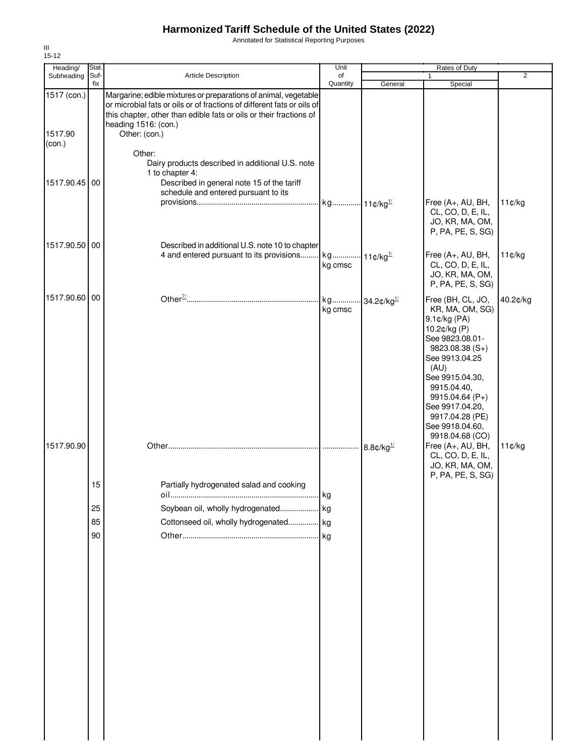Annotated for Statistical Reporting Purposes

| Heading/               | Stat.       |                                                                                                                                                                                                                                                          | Unit           | Rates of Duty                                |                                                                                                                                                                                                                                                     |                |
|------------------------|-------------|----------------------------------------------------------------------------------------------------------------------------------------------------------------------------------------------------------------------------------------------------------|----------------|----------------------------------------------|-----------------------------------------------------------------------------------------------------------------------------------------------------------------------------------------------------------------------------------------------------|----------------|
| Subheading             | Suf-<br>fix | Article Description                                                                                                                                                                                                                                      | of<br>Quantity | General                                      | $\mathbf{1}$<br>Special                                                                                                                                                                                                                             | $\overline{2}$ |
| 1517 (con.)<br>1517.90 |             | Margarine; edible mixtures or preparations of animal, vegetable<br>or microbial fats or oils or of fractions of different fats or oils of<br>this chapter, other than edible fats or oils or their fractions of<br>heading 1516: (con.)<br>Other: (con.) |                |                                              |                                                                                                                                                                                                                                                     |                |
| (con.)                 |             | Other:<br>Dairy products described in additional U.S. note                                                                                                                                                                                               |                |                                              |                                                                                                                                                                                                                                                     |                |
| 1517.90.45 00          |             | 1 to chapter 4:<br>Described in general note 15 of the tariff<br>schedule and entered pursuant to its                                                                                                                                                    |                |                                              | Free (A+, AU, BH,                                                                                                                                                                                                                                   | 11¢/kg         |
|                        |             |                                                                                                                                                                                                                                                          |                |                                              | CL, CO, D, E, IL,<br>JO, KR, MA, OM,<br>P, PA, PE, S, SG)                                                                                                                                                                                           |                |
| 1517.90.50 00          |             | Described in additional U.S. note 10 to chapter<br>4 and entered pursuant to its provisions kg                                                                                                                                                           | kg cmsc        | 11 $\frac{d}{dx}$                            | Free (A+, AU, BH,<br>CL, CO, D, E, IL,<br>JO, KR, MA, OM,<br>P, PA, PE, S, SG)                                                                                                                                                                      | 11¢/kg         |
| 1517.90.60 00          |             |                                                                                                                                                                                                                                                          | kg<br>kg cmsc  | 34.2 $\mathcal{L}/\mathsf{kg}$ <sup>1/</sup> | Free (BH, CL, JO,<br>KR, MA, OM, SG)<br>9.1¢/kg (PA)<br>10.2¢/kg (P)<br>See 9823.08.01-<br>$9823.08.38(S+)$<br>See 9913.04.25<br>(AU)<br>See 9915.04.30,<br>9915.04.40,<br>9915.04.64 (P+)<br>See 9917.04.20,<br>9917.04.28 (PE)<br>See 9918.04.60, | 40.2¢/kg       |
| 1517.90.90             |             |                                                                                                                                                                                                                                                          |                | $8.8$ ¢/kg $\frac{1}{2}$                     | 9918.04.68 (CO)<br>Free (A+, AU, BH,<br>CL, CO, D, E, IL,<br>JO, KR, MA, OM,<br>P, PA, PE, S, SG)                                                                                                                                                   | 11¢/kg         |
|                        | 15          | Partially hydrogenated salad and cooking                                                                                                                                                                                                                 | . kg           |                                              |                                                                                                                                                                                                                                                     |                |
|                        | 25          |                                                                                                                                                                                                                                                          |                |                                              |                                                                                                                                                                                                                                                     |                |
|                        | 85<br>90    | Cottonseed oil, wholly hydrogenated kg                                                                                                                                                                                                                   |                |                                              |                                                                                                                                                                                                                                                     |                |
|                        |             |                                                                                                                                                                                                                                                          |                |                                              |                                                                                                                                                                                                                                                     |                |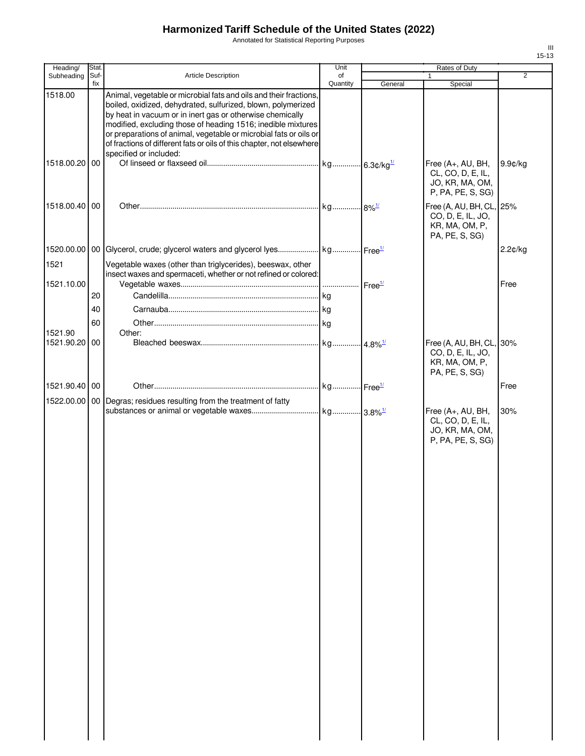Annotated for Statistical Reporting Purposes

| Heading/           | Stat.       |                                                                                                                                                                                                                                                                                                                                                                                                                                        | Unit           |         | Rates of Duty                                                                     |            |
|--------------------|-------------|----------------------------------------------------------------------------------------------------------------------------------------------------------------------------------------------------------------------------------------------------------------------------------------------------------------------------------------------------------------------------------------------------------------------------------------|----------------|---------|-----------------------------------------------------------------------------------|------------|
| Subheading         | Suf-<br>fix | Article Description                                                                                                                                                                                                                                                                                                                                                                                                                    | of<br>Quantity | General | Special                                                                           | 2          |
| 1518.00            |             | Animal, vegetable or microbial fats and oils and their fractions,<br>boiled, oxidized, dehydrated, sulfurized, blown, polymerized<br>by heat in vacuum or in inert gas or otherwise chemically<br>modified, excluding those of heading 1516; inedible mixtures<br>or preparations of animal, vegetable or microbial fats or oils or<br>of fractions of different fats or oils of this chapter, not elsewhere<br>specified or included: |                |         |                                                                                   |            |
| 1518.00.20 00      |             |                                                                                                                                                                                                                                                                                                                                                                                                                                        |                |         | Free (A+, AU, BH,<br>CL, CO, D, E, IL,<br>JO, KR, MA, OM,<br>P, PA, PE, S, SG)    | $9.9$ ¢/kg |
| 1518.00.40 00      |             |                                                                                                                                                                                                                                                                                                                                                                                                                                        |                |         | Free (A, AU, BH, CL, 25%<br>CO, D, E, IL, JO,<br>KR, MA, OM, P,<br>PA, PE, S, SG) |            |
|                    |             |                                                                                                                                                                                                                                                                                                                                                                                                                                        |                |         |                                                                                   | 2.2¢/kg    |
| 1521<br>1521.10.00 |             | Vegetable waxes (other than triglycerides), beeswax, other<br>insect waxes and spermaceti, whether or not refined or colored:                                                                                                                                                                                                                                                                                                          |                |         |                                                                                   | Free       |
|                    | 20          |                                                                                                                                                                                                                                                                                                                                                                                                                                        |                |         |                                                                                   |            |
|                    | 40          |                                                                                                                                                                                                                                                                                                                                                                                                                                        |                |         |                                                                                   |            |
|                    | 60          |                                                                                                                                                                                                                                                                                                                                                                                                                                        |                |         |                                                                                   |            |
| 1521.90            |             | Other:                                                                                                                                                                                                                                                                                                                                                                                                                                 |                |         |                                                                                   |            |
| 1521.90.20         | 00          |                                                                                                                                                                                                                                                                                                                                                                                                                                        |                |         | Free (A, AU, BH, CL, 30%<br>CO, D, E, IL, JO,<br>KR, MA, OM, P,<br>PA, PE, S, SG) |            |
| 1521.90.40 00      |             |                                                                                                                                                                                                                                                                                                                                                                                                                                        |                |         |                                                                                   | Free       |
| 1522.00.00         |             | 00 Degras; residues resulting from the treatment of fatty                                                                                                                                                                                                                                                                                                                                                                              |                |         | Free (A+, AU, BH,<br>CL, CO, D, E, IL,                                            | 30%        |
|                    |             |                                                                                                                                                                                                                                                                                                                                                                                                                                        |                |         | JO, KR, MA, OM,<br>P, PA, PE, S, SG)                                              |            |